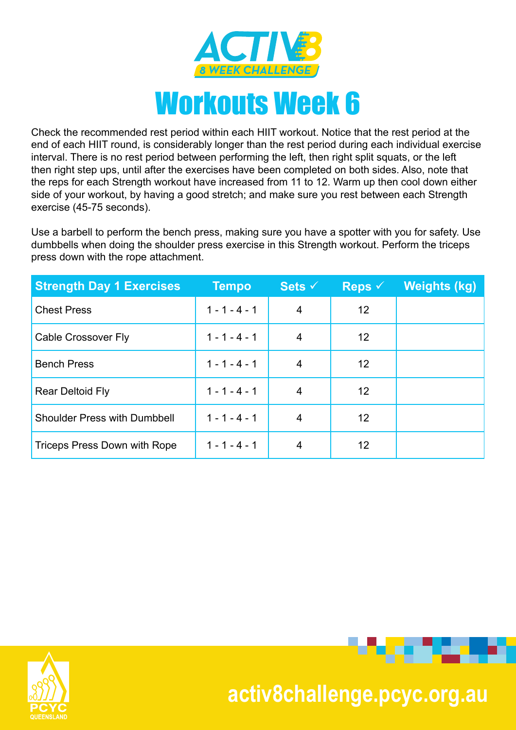

Check the recommended rest period within each HIIT workout. Notice that the rest period at the end of each HIIT round, is considerably longer than the rest period during each individual exercise interval. There is no rest period between performing the left, then right split squats, or the left then right step ups, until after the exercises have been completed on both sides. Also, note that the reps for each Strength workout have increased from 11 to 12. Warm up then cool down either side of your workout, by having a good stretch; and make sure you rest between each Strength exercise (45-75 seconds).

Use a barbell to perform the bench press, making sure you have a spotter with you for safety. Use dumbbells when doing the shoulder press exercise in this Strength workout. Perform the triceps press down with the rope attachment.

| <b>Strength Day 1 Exercises</b>     | <b>Tempo</b>    | Sets $\checkmark$ | Reps $\checkmark$ | Weights (kg) |
|-------------------------------------|-----------------|-------------------|-------------------|--------------|
| <b>Chest Press</b>                  | $1 - 1 - 4 - 1$ | 4                 | 12                |              |
| Cable Crossover Fly                 | $1 - 1 - 4 - 1$ | 4                 | 12                |              |
| <b>Bench Press</b>                  | $1 - 1 - 4 - 1$ | 4                 | 12                |              |
| <b>Rear Deltoid Fly</b>             | $1 - 1 - 4 - 1$ | 4                 | 12                |              |
| <b>Shoulder Press with Dumbbell</b> | $1 - 1 - 4 - 1$ | 4                 | 12                |              |
| Triceps Press Down with Rope        | $1 - 1 - 4 - 1$ | 4                 | 12                |              |





- 33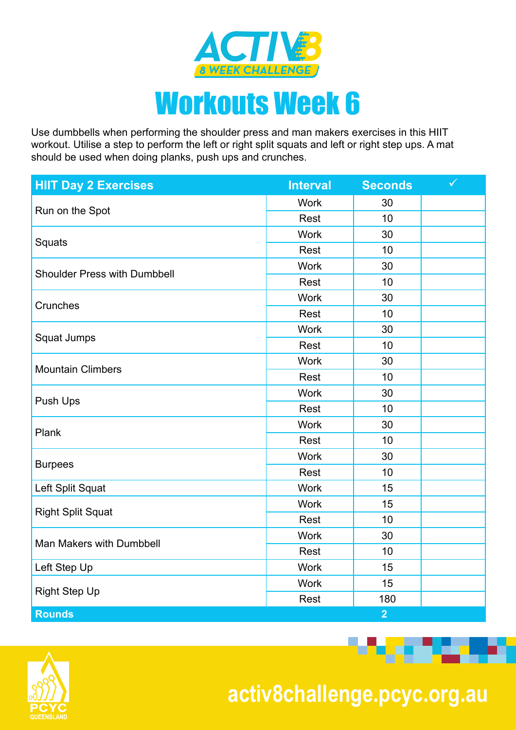

Use dumbbells when performing the shoulder press and man makers exercises in this HIIT workout. Utilise a step to perform the left or right split squats and left or right step ups. A mat should be used when doing planks, push ups and crunches.

| <b>HIIT Day 2 Exercises</b>         | <b>Interval</b> | <b>Seconds</b> | $\checkmark$ |
|-------------------------------------|-----------------|----------------|--------------|
|                                     | <b>Work</b>     | 30             |              |
| Run on the Spot                     | Rest            | 10             |              |
|                                     | <b>Work</b>     | 30             |              |
| Squats                              | Rest            | 10             |              |
| <b>Shoulder Press with Dumbbell</b> | <b>Work</b>     | 30             |              |
|                                     | Rest            | 10             |              |
|                                     | <b>Work</b>     | 30             |              |
| Crunches                            | Rest            | 10             |              |
|                                     | <b>Work</b>     | 30             |              |
| Squat Jumps                         | Rest            | 10             |              |
|                                     | <b>Work</b>     | 30             |              |
| <b>Mountain Climbers</b>            | Rest            | 10             |              |
|                                     | <b>Work</b>     | 30             |              |
| Push Ups                            | Rest            | 10             |              |
| Plank                               | <b>Work</b>     | 30             |              |
|                                     | Rest            | 10             |              |
|                                     | <b>Work</b>     | 30             |              |
| <b>Burpees</b>                      | Rest            | 10             |              |
| Left Split Squat                    | <b>Work</b>     | 15             |              |
|                                     | <b>Work</b>     | 15             |              |
| <b>Right Split Squat</b>            | Rest            | 10             |              |
|                                     | <b>Work</b>     | 30             |              |
| Man Makers with Dumbbell            | Rest            | 10             |              |
| Left Step Up                        | <b>Work</b>     | 15             |              |
|                                     | <b>Work</b>     | 15             |              |
| <b>Right Step Up</b>                | Rest            | 180            |              |
| <b>Rounds</b>                       |                 | $\overline{2}$ |              |



 **activ8challenge.pcyc.org.au**

<u> Bandari Sa</u>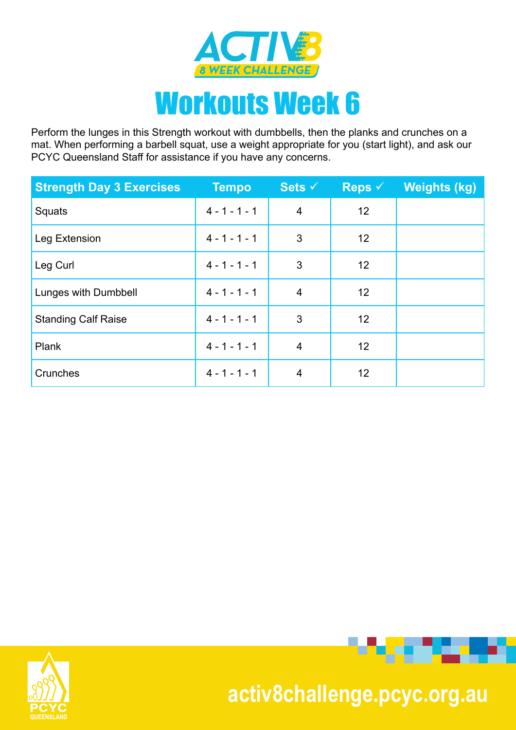

Perform the lunges in this Strength workout with dumbbells, then the planks and crunches on a mat. When performing a barbell squat, use a weight appropriate for you (start light), and ask our PCYC Queensland Staff for assistance if you have any concerns.

| <b>Strength Day 3 Exercises</b> | <b>Tempo</b>    | Sets $\checkmark$ | <b>Reps</b> $\checkmark$ | <b>Weights (kg)</b> |
|---------------------------------|-----------------|-------------------|--------------------------|---------------------|
| Squats                          | $4 - 1 - 1 - 1$ | $\overline{4}$    | 12                       |                     |
| Leg Extension                   | $4 - 1 - 1 - 1$ | 3                 | 12                       |                     |
| Leg Curl                        | $4 - 1 - 1 - 1$ | 3                 | 12                       |                     |
| Lunges with Dumbbell            | $4 - 1 - 1 - 1$ | 4                 | 12                       |                     |
| <b>Standing Calf Raise</b>      | $4 - 1 - 1 - 1$ | 3                 | 12                       |                     |
| Plank                           | $4 - 1 - 1 - 1$ | 4                 | 12                       |                     |
| Crunches                        | $4 - 1 - 1 - 1$ | 4                 | 12                       |                     |





## **activ8challenge.pcyc.org.au**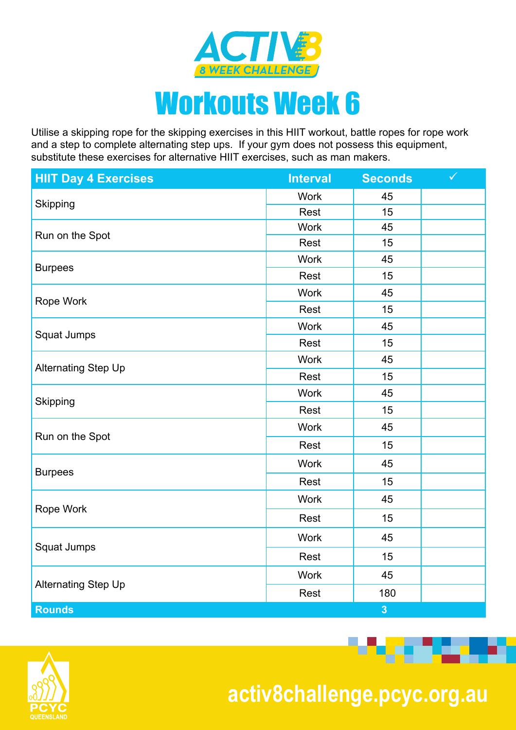

Utilise a skipping rope for the skipping exercises in this HIIT workout, battle ropes for rope work and a step to complete alternating step ups. If your gym does not possess this equipment, substitute these exercises for alternative HIIT exercises, such as man makers.

| <b>HIIT Day 4 Exercises</b> | <b>Interval</b> | <b>Seconds</b> | $\checkmark$ |
|-----------------------------|-----------------|----------------|--------------|
|                             | <b>Work</b>     | 45             |              |
| Skipping                    | Rest            | 15             |              |
| Run on the Spot             | <b>Work</b>     | 45             |              |
|                             | Rest            | 15             |              |
| <b>Burpees</b>              | Work            | 45             |              |
|                             | Rest            | 15             |              |
| Rope Work                   | <b>Work</b>     | 45             |              |
|                             | Rest            | 15             |              |
|                             | <b>Work</b>     | 45             |              |
| Squat Jumps                 | Rest            | 15             |              |
|                             | <b>Work</b>     | 45             |              |
| <b>Alternating Step Up</b>  | Rest            | 15             |              |
|                             | <b>Work</b>     | 45             |              |
| Skipping                    | Rest            | 15             |              |
| Run on the Spot             | <b>Work</b>     | 45             |              |
|                             | Rest            | 15             |              |
| <b>Burpees</b>              | <b>Work</b>     | 45             |              |
|                             | Rest            | 15             |              |
|                             | <b>Work</b>     | 45             |              |
| Rope Work                   | Rest            | 15             |              |
|                             | <b>Work</b>     | 45             |              |
| Squat Jumps                 | Rest            | 15             |              |
|                             | <b>Work</b>     | 45             |              |
| <b>Alternating Step Up</b>  | Rest            | 180            |              |
| <b>Rounds</b>               |                 | 3              |              |



 **activ8challenge.pcyc.org.au**

**Programme**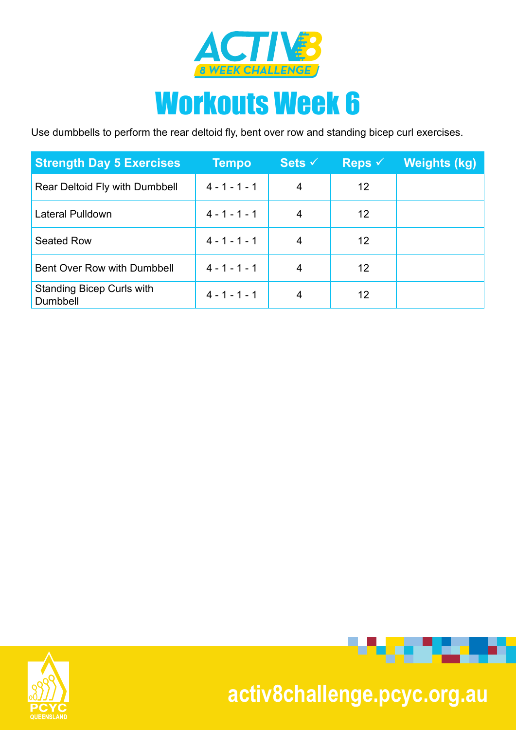

## Workouts Week 6

Use dumbbells to perform the rear deltoid fly, bent over row and standing bicep curl exercises.

| <b>Strength Day 5 Exercises</b>              | <b>Tempo</b>    | Sets $\checkmark$ | Reps $\checkmark$ | <b>Weights (kg)</b> |
|----------------------------------------------|-----------------|-------------------|-------------------|---------------------|
| Rear Deltoid Fly with Dumbbell               | $4 - 1 - 1 - 1$ | 4                 | 12                |                     |
| Lateral Pulldown                             | $4 - 1 - 1 - 1$ | 4                 | 12                |                     |
| Seated Row                                   | $4 - 1 - 1 - 1$ | 4                 | 12                |                     |
| Bent Over Row with Dumbbell                  | $4 - 1 - 1 - 1$ | 4                 | 12                |                     |
| <b>Standing Bicep Curls with</b><br>Dumbbell | $4 - 1 - 1 - 1$ | 4                 | 12                |                     |





## **activ8challenge.pcyc.org.au**